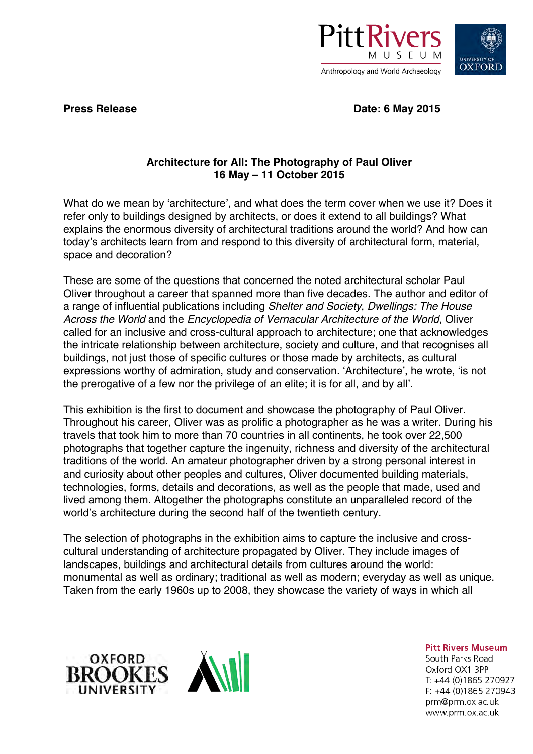



**Press Release Date: 6 May 2015**

## **Architecture for All: The Photography of Paul Oliver 16 May – 11 October 2015**

What do we mean by 'architecture', and what does the term cover when we use it? Does it refer only to buildings designed by architects, or does it extend to all buildings? What explains the enormous diversity of architectural traditions around the world? And how can today's architects learn from and respond to this diversity of architectural form, material, space and decoration?

These are some of the questions that concerned the noted architectural scholar Paul Oliver throughout a career that spanned more than five decades. The author and editor of a range of influential publications including *Shelter and Society*, *Dwellings: The House Across the World* and the *Encyclopedia of Vernacular Architecture of the World*, Oliver called for an inclusive and cross-cultural approach to architecture; one that acknowledges the intricate relationship between architecture, society and culture, and that recognises all buildings, not just those of specific cultures or those made by architects, as cultural expressions worthy of admiration, study and conservation. 'Architecture', he wrote, 'is not the prerogative of a few nor the privilege of an elite; it is for all, and by all'.

This exhibition is the first to document and showcase the photography of Paul Oliver. Throughout his career, Oliver was as prolific a photographer as he was a writer. During his travels that took him to more than 70 countries in all continents, he took over 22,500 photographs that together capture the ingenuity, richness and diversity of the architectural traditions of the world. An amateur photographer driven by a strong personal interest in and curiosity about other peoples and cultures, Oliver documented building materials, technologies, forms, details and decorations, as well as the people that made, used and lived among them. Altogether the photographs constitute an unparalleled record of the world's architecture during the second half of the twentieth century.

The selection of photographs in the exhibition aims to capture the inclusive and crosscultural understanding of architecture propagated by Oliver. They include images of landscapes, buildings and architectural details from cultures around the world: monumental as well as ordinary; traditional as well as modern; everyday as well as unique. Taken from the early 1960s up to 2008, they showcase the variety of ways in which all





**Pitt Rivers Museum** 

South Parks Road Oxford OX1 3PP T: +44 (0)1865 270927  $F: +44(0)1865270943$ prm@prm.ox.ac.uk www.prm.ox.ac.uk